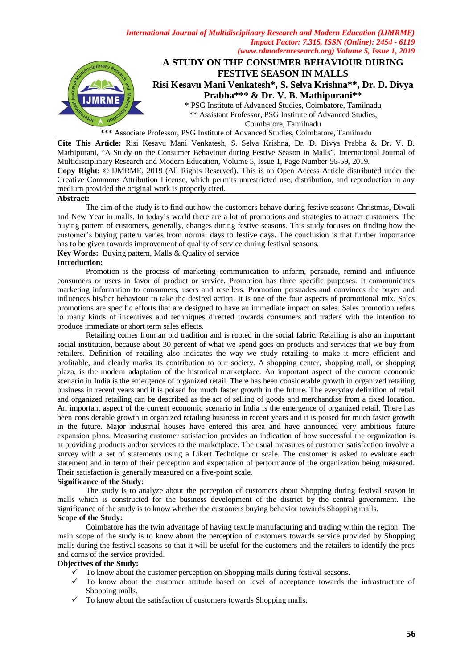

\*\*\* Associate Professor, PSG Institute of Advanced Studies, Coimbatore, Tamilnadu

**Cite This Article:** Risi Kesavu Mani Venkatesh, S. Selva Krishna, Dr. D. Divya Prabha & Dr. V. B. Mathipurani, "A Study on the Consumer Behaviour during Festive Season in Malls", International Journal of Multidisciplinary Research and Modern Education, Volume 5, Issue 1, Page Number 56-59, 2019. **Copy Right:** © IJMRME, 2019 (All Rights Reserved). This is an Open Access Article distributed under the Creative Commons Attribution License, which permits unrestricted use, distribution, and reproduction in any medium provided the original work is properly cited.

### **Abstract:**

The aim of the study is to find out how the customers behave during festive seasons Christmas, Diwali and New Year in malls. In today's world there are a lot of promotions and strategies to attract customers. The buying pattern of customers, generally, changes during festive seasons. This study focuses on finding how the customer's buying pattern varies from normal days to festive days. The conclusion is that further importance has to be given towards improvement of quality of service during festival seasons.

**Key Words:** Buying pattern, Malls & Quality of service

### **Introduction:**

Promotion is the process of marketing communication to inform, persuade, remind and influence consumers or users in favor of product or service. Promotion has three specific purposes. It communicates marketing information to consumers, users and resellers. Promotion persuades and convinces the buyer and influences his/her behaviour to take the desired action. It is one of the four aspects of promotional mix. Sales promotions are specific efforts that are designed to have an immediate impact on sales. Sales promotion refers to many kinds of incentives and techniques directed towards consumers and traders with the intention to produce immediate or short term sales effects.

Retailing comes from an old tradition and is rooted in the social fabric. Retailing is also an important social institution, because about 30 percent of what we spend goes on products and services that we buy from retailers. Definition of retailing also indicates the way we study retailing to make it more efficient and profitable, and clearly marks its contribution to our society. A shopping center, shopping mall, or shopping plaza, is the modern adaptation of the historical marketplace. An important aspect of the current economic scenario in India is the emergence of organized retail. There has been considerable growth in organized retailing business in recent years and it is poised for much faster growth in the future. The everyday definition of retail and organized retailing can be described as the act of selling of goods and merchandise from a fixed location. An important aspect of the current economic scenario in India is the emergence of organized retail. There has been considerable growth in organized retailing business in recent years and it is poised for much faster growth in the future. Major industrial houses have entered this area and have announced very ambitious future expansion plans. Measuring customer satisfaction provides an indication of how successful the organization is at providing products and/or services to the marketplace. The usual measures of customer satisfaction involve a survey with a set of statements using a Likert Technique or scale. The customer is asked to evaluate each statement and in term of their perception and expectation of performance of the organization being measured. Their satisfaction is generally measured on a five-point scale.

### **Significance of the Study:**

The study is to analyze about the perception of customers about Shopping during festival season in malls which is constructed for the business development of the district by the central government. The significance of the study is to know whether the customers buying behavior towards Shopping malls. **Scope of the Study:**

Coimbatore has the twin advantage of having textile manufacturing and trading within the region. The main scope of the study is to know about the perception of customers towards service provided by Shopping malls during the festival seasons so that it will be useful for the customers and the retailers to identify the pros and corns of the service provided.

### **Objectives of the Study:**

- $\checkmark$  To know about the customer perception on Shopping malls during festival seasons.
- $\checkmark$  To know about the customer attitude based on level of acceptance towards the infrastructure of Shopping malls.
- $\checkmark$  To know about the satisfaction of customers towards Shopping malls.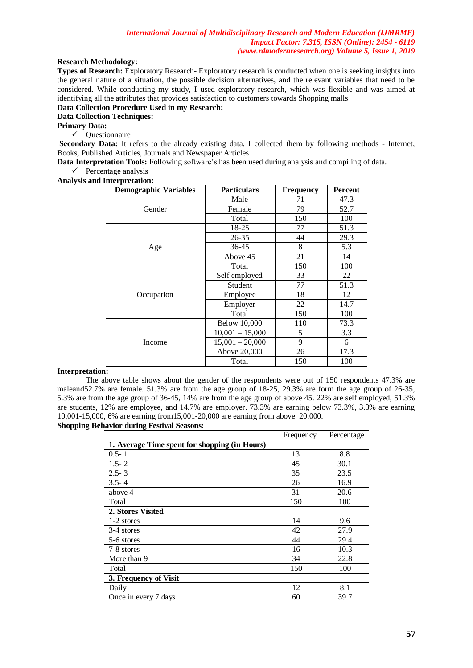## **Research Methodology:**

**Types of Research:** Exploratory Research- Exploratory research is conducted when one is seeking insights into the general nature of a situation, the possible decision alternatives, and the relevant variables that need to be considered. While conducting my study, I used exploratory research, which was flexible and was aimed at identifying all the attributes that provides satisfaction to customers towards Shopping malls

### **Data Collection Procedure Used in my Research:**

# **Data Collection Techniques:**

# **Primary Data:**

 $\checkmark$  Questionnaire

**Secondary Data:** It refers to the already existing data. I collected them by following methods - Internet, Books, Published Articles, Journals and Newspaper Articles

**Data Interpretation Tools:** Following software's has been used during analysis and compiling of data.

 $\checkmark$  Percentage analysis **Analysis and Interpretation:**

| <b>Demographic Variables</b> | <b>Particulars</b>  | <b>Frequency</b> | Percent |
|------------------------------|---------------------|------------------|---------|
| Gender                       | Male                | 71               | 47.3    |
|                              | Female              | 79               | 52.7    |
|                              | Total               | 150              | 100     |
|                              | $18-25$             | 77               | 51.3    |
|                              | $26 - 35$           | 44               | 29.3    |
| Age                          | 36-45               | 8                | 5.3     |
|                              | Above 45            | 21               | 14      |
|                              | Total               | 150              | 100     |
| Occupation                   | Self employed       | 33               | 22      |
|                              | Student             | 77               | 51.3    |
|                              | Employee            | 18               | 12      |
|                              | Employer            | 22               | 14.7    |
|                              | Total               | 150              | 100     |
| Income                       | <b>Below 10,000</b> | 110              | 73.3    |
|                              | $10,001 - 15,000$   | 5                | 3.3     |
|                              | $15,001 - 20,000$   | 9                | 6       |
|                              | Above 20,000        | 26               | 17.3    |
|                              | Total               | 150              | 100     |

### **Interpretation:**

The above table shows about the gender of the respondents were out of 150 respondents 47.3% are maleand52.7% are female. 51.3% are from the age group of 18-25, 29.3% are form the age group of 26-35, 5.3% are from the age group of 36-45, 14% are from the age group of above 45. 22% are self employed, 51.3% are students, 12% are employee, and 14.7% are employer. 73.3% are earning below 73.3%, 3.3% are earning 10,001-15,000, 6% are earning from15,001-20,000 are earning from above 20,000.

# **Shopping Behavior during Festival Seasons:**

|                                               | Frequency | Percentage |  |
|-----------------------------------------------|-----------|------------|--|
| 1. Average Time spent for shopping (in Hours) |           |            |  |
| $0.5 - 1$                                     | 13        | 8.8        |  |
| $1.5 - 2$                                     | 45        | 30.1       |  |
| $2.5 - 3$                                     | 35        | 23.5       |  |
| $3.5 - 4$                                     | 26        | 16.9       |  |
| above 4                                       | 31        | 20.6       |  |
| Total                                         | 150       | 100        |  |
| 2. Stores Visited                             |           |            |  |
| 1-2 stores                                    | 14        | 9.6        |  |
| 3-4 stores                                    | 42        | 27.9       |  |
| 5-6 stores                                    | 44        | 29.4       |  |
| 7-8 stores                                    | 16        | 10.3       |  |
| More than 9                                   | 34        | 22.8       |  |
| Total                                         | 150       | 100        |  |
| 3. Frequency of Visit                         |           |            |  |
| Daily                                         | 12        | 8.1        |  |
| Once in every 7 days                          | 60        | 39.7       |  |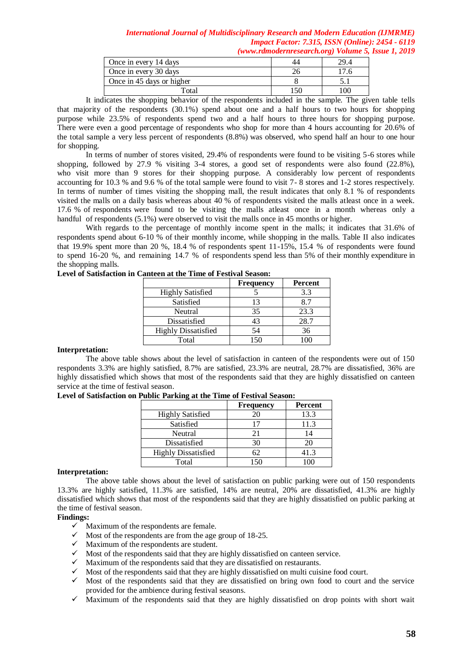| Once in every 14 days     | 29.4 |
|---------------------------|------|
| Once in every 30 days     |      |
| Once in 45 days or higher |      |
| Total                     | 100. |

It indicates the shopping behavior of the respondents included in the sample. The given table tells that majority of the respondents (30.1%) spend about one and a half hours to two hours for shopping purpose while 23.5% of respondents spend two and a half hours to three hours for shopping purpose. There were even a good percentage of respondents who shop for more than 4 hours accounting for 20.6% of the total sample a very less percent of respondents (8.8%) was observed, who spend half an hour to one hour for shopping.

In terms of number of stores visited, 29.4% of respondents were found to be visiting 5-6 stores while shopping, followed by 27.9 % visiting 3-4 stores, a good set of respondents were also found (22.8%), who visit more than 9 stores for their shopping purpose. A considerably low percent of respondents accounting for 10.3 % and 9.6 % of the total sample were found to visit 7- 8 stores and 1-2 stores respectively. In terms of number of times visiting the shopping mall, the result indicates that only 8.1 % of respondents visited the malls on a daily basis whereas about 40 % of respondents visited the malls atleast once in a week. 17.6 % of respondents were found to be visiting the malls atleast once in a month whereas only a handful of respondents (5.1%) were observed to visit the malls once in 45 months or higher.

With regards to the percentage of monthly income spent in the malls; it indicates that 31.6% of respondents spend about 6-10 % of their monthly income, while shopping in the malls. Table II also indicates that 19.9% spent more than 20 %, 18.4 % of respondents spent 11-15%, 15.4 % of respondents were found to spend 16-20 %, and remaining 14.7 % of respondents spend less than 5% of their monthly expenditure in the shopping malls.

|                            | <b>Frequency</b> | <b>Percent</b> |
|----------------------------|------------------|----------------|
| <b>Highly Satisfied</b>    |                  | 3.3            |
| Satisfied                  | 13               | 8.7            |
| Neutral                    | 35               | 23.3           |
| Dissatisfied               | 43               | 28.7           |
| <b>Highly Dissatisfied</b> | 54               | 36             |
| Total                      | 150              |                |

### **Level of Satisfaction in Canteen at the Time of Festival Season:**

### **Interpretation:**

The above table shows about the level of satisfaction in canteen of the respondents were out of 150 respondents 3.3% are highly satisfied, 8.7% are satisfied, 23.3% are neutral, 28.7% are dissatisfied, 36% are highly dissatisfied which shows that most of the respondents said that they are highly dissatisfied on canteen service at the time of festival season.

| Level of Satisfaction on Public Parking at the Time of Festival Season: |  |
|-------------------------------------------------------------------------|--|
|-------------------------------------------------------------------------|--|

|                            | <b>Frequency</b> | Percent |
|----------------------------|------------------|---------|
| <b>Highly Satisfied</b>    | 20               | 13.3    |
| Satisfied                  | 17               | 11.3    |
| Neutral                    | 21               |         |
| Dissatisfied               | 30               | 20      |
| <b>Highly Dissatisfied</b> | 62               | 41.3    |
| Total                      |                  |         |

### **Interpretation:**

The above table shows about the level of satisfaction on public parking were out of 150 respondents 13.3% are highly satisfied, 11.3% are satisfied, 14% are neutral, 20% are dissatisfied, 41.3% are highly dissatisfied which shows that most of the respondents said that they are highly dissatisfied on public parking at the time of festival season.

## **Findings:**

- $\checkmark$  Maximum of the respondents are female.
- $\checkmark$  Most of the respondents are from the age group of 18-25.<br> $\checkmark$  Maximum of the respondents are student.
- Maximum of the respondents are student.
- $\checkmark$  Most of the respondents said that they are highly dissatisfied on canteen service.
- 
- $\checkmark$  Maximum of the respondents said that they are dissatisfied on restaurants.<br> $\checkmark$  Most of the respondents said that they are highly dissatisfied on multi cuisi  $\checkmark$  Most of the respondents said that they are highly dissatisfied on multi cuisine food court.<br> $\checkmark$  Most of the respondents said that they are dissatisfied on bring own food to court are
- Most of the respondents said that they are dissatisfied on bring own food to court and the service provided for the ambience during festival seasons.
- $\checkmark$  Maximum of the respondents said that they are highly dissatisfied on drop points with short wait